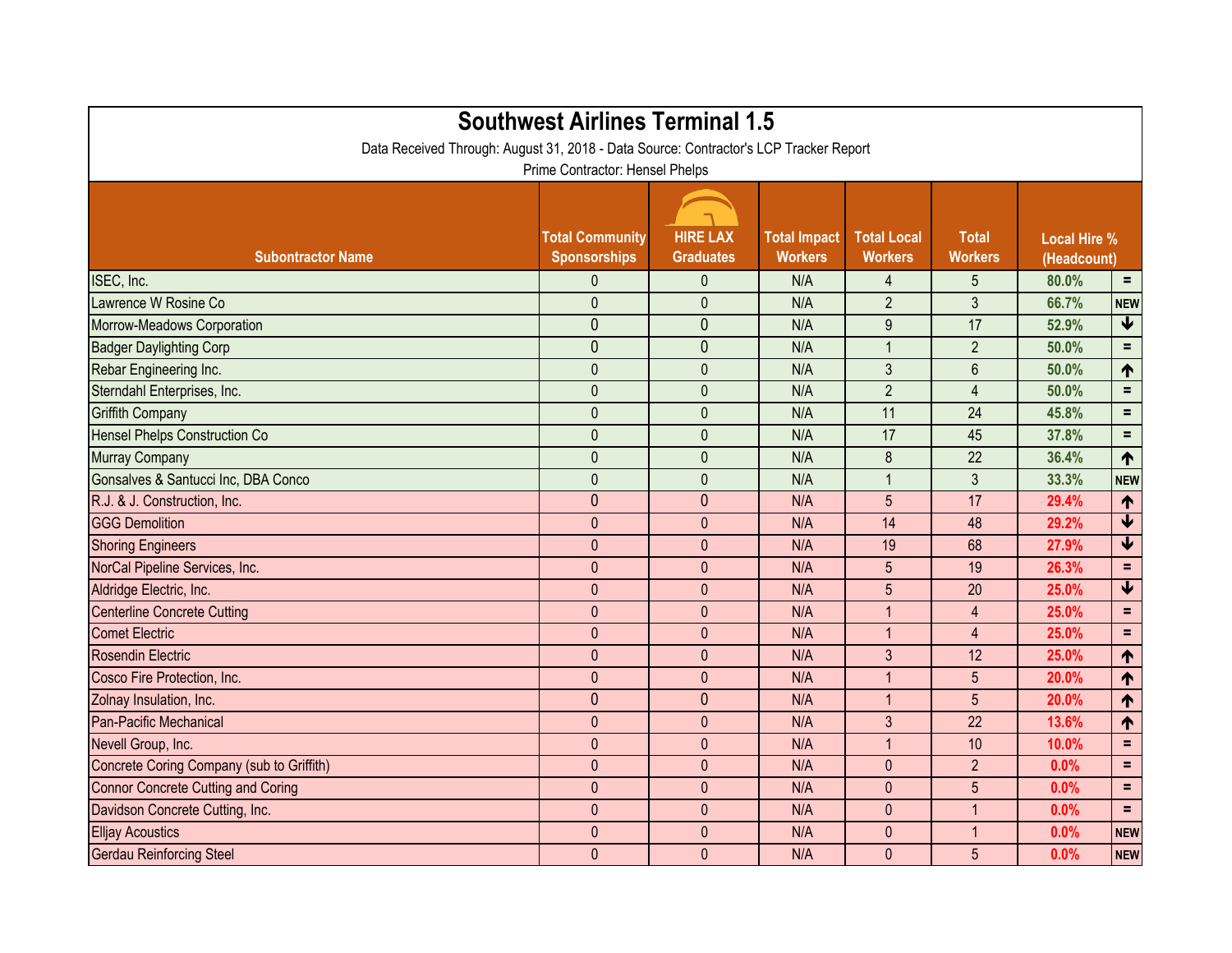| <b>Southwest Airlines Terminal 1.5</b><br>Data Received Through: August 31, 2018 - Data Source: Contractor's LCP Tracker Report<br>Prime Contractor: Hensel Phelps |                                               |                                     |                                       |                                      |                                |                                    |                            |  |  |  |  |
|--------------------------------------------------------------------------------------------------------------------------------------------------------------------|-----------------------------------------------|-------------------------------------|---------------------------------------|--------------------------------------|--------------------------------|------------------------------------|----------------------------|--|--|--|--|
| <b>Subontractor Name</b>                                                                                                                                           | <b>Total Community</b><br><b>Sponsorships</b> | <b>HIRE LAX</b><br><b>Graduates</b> | <b>Total Impact</b><br><b>Workers</b> | <b>Total Local</b><br><b>Workers</b> | <b>Total</b><br><b>Workers</b> | <b>Local Hire %</b><br>(Headcount) |                            |  |  |  |  |
| ISEC, Inc.                                                                                                                                                         | $\mathbf{0}$                                  | $\mathbf 0$                         | N/A                                   | 4                                    | 5                              | 80.0%                              | Ξ.                         |  |  |  |  |
| Lawrence W Rosine Co                                                                                                                                               | $\mathbf{0}$                                  | $\mathbf{0}$                        | N/A                                   | $\overline{2}$                       | $\mathfrak{Z}$                 | 66.7%                              | <b>NEW</b>                 |  |  |  |  |
| Morrow-Meadows Corporation                                                                                                                                         | $\mathbf{0}$                                  | $\theta$                            | N/A                                   | 9                                    | 17                             | 52.9%                              | $\blacklozenge$            |  |  |  |  |
| <b>Badger Daylighting Corp</b>                                                                                                                                     | $\mathbf 0$                                   | $\theta$                            | N/A                                   | 1                                    | $\overline{2}$                 | 50.0%                              | $\equiv$                   |  |  |  |  |
| Rebar Engineering Inc.                                                                                                                                             | $\mathbf{0}$                                  | $\mathbf{0}$                        | N/A                                   | 3                                    | $6\phantom{1}$                 | 50.0%                              | 1                          |  |  |  |  |
| Sterndahl Enterprises, Inc.                                                                                                                                        | $\mathbf{0}$                                  | $\theta$                            | N/A                                   | $\overline{2}$                       | 4                              | 50.0%                              | $=$                        |  |  |  |  |
| <b>Griffith Company</b>                                                                                                                                            | $\mathbf 0$                                   | $\bf 0$                             | N/A                                   | 11                                   | 24                             | 45.8%                              | $=$                        |  |  |  |  |
| <b>Hensel Phelps Construction Co</b>                                                                                                                               | $\mathbf 0$                                   | $\mathbf{0}$                        | N/A                                   | 17                                   | 45                             | 37.8%                              | $=$                        |  |  |  |  |
| <b>Murray Company</b>                                                                                                                                              | $\mathbf{0}$                                  | $\mathbf{0}$                        | N/A                                   | 8                                    | 22                             | 36.4%                              | 1                          |  |  |  |  |
| Gonsalves & Santucci Inc, DBA Conco                                                                                                                                | $\mathbf{0}$                                  | $\mathbf{0}$                        | N/A                                   | 1                                    | 3                              | 33.3%                              | <b>NEW</b>                 |  |  |  |  |
| R.J. & J. Construction, Inc.                                                                                                                                       | $\mathbf{0}$                                  | $\mathbf{0}$                        | N/A                                   | 5                                    | 17                             | 29.4%                              | 1                          |  |  |  |  |
| <b>GGG Demolition</b>                                                                                                                                              | $\mathbf{0}$                                  | $\mathbf{0}$                        | N/A                                   | 14                                   | 48                             | 29.2%                              | $\blacktriangledown$       |  |  |  |  |
| <b>Shoring Engineers</b>                                                                                                                                           | $\mathbf{0}$                                  | $\theta$                            | N/A                                   | 19                                   | 68                             | 27.9%                              | $\blacklozenge$            |  |  |  |  |
| NorCal Pipeline Services, Inc.                                                                                                                                     | $\mathbf 0$                                   | $\mathbf{0}$                        | N/A                                   | 5                                    | 19                             | 26.3%                              | $\equiv$                   |  |  |  |  |
| Aldridge Electric, Inc.                                                                                                                                            | $\mathbf{0}$                                  | $\mathbf{0}$                        | N/A                                   | 5                                    | 20                             | 25.0%                              | $\overline{\blacklozenge}$ |  |  |  |  |
| <b>Centerline Concrete Cutting</b>                                                                                                                                 | $\mathbf{0}$                                  | $\mathbf{0}$                        | N/A                                   |                                      | 4                              | 25.0%                              | $=$                        |  |  |  |  |
| <b>Comet Electric</b>                                                                                                                                              | $\mathbf{0}$                                  | $\mathbf{0}$                        | N/A                                   | $\overline{1}$                       | $\overline{4}$                 | 25.0%                              | $=$                        |  |  |  |  |
| <b>Rosendin Electric</b>                                                                                                                                           | $\mathbf{0}$                                  | $\theta$                            | N/A                                   | 3 <sup>1</sup>                       | 12                             | 25.0%                              | $\blacklozenge$            |  |  |  |  |
| Cosco Fire Protection, Inc.                                                                                                                                        | $\mathbf{0}$                                  | $\mathbf{0}$                        | N/A                                   | $\overline{1}$                       | 5                              | 20.0%                              | ↑                          |  |  |  |  |
| Zolnay Insulation, Inc.                                                                                                                                            | $\mathbf{0}$                                  | $\theta$                            | N/A                                   | 1                                    | 5                              | 20.0%                              | 1                          |  |  |  |  |
| Pan-Pacific Mechanical                                                                                                                                             | $\mathbf{0}$                                  | $\theta$                            | N/A                                   | 3                                    | 22                             | 13.6%                              | 1                          |  |  |  |  |
| Nevell Group, Inc.                                                                                                                                                 | $\pmb{0}$                                     | $\pmb{0}$                           | N/A                                   | $\mathbf{1}$                         | $10$                           | 10.0%                              | $\equiv$ .                 |  |  |  |  |
| Concrete Coring Company (sub to Griffith)                                                                                                                          | $\mathbf 0$                                   | $\mathbf{0}$                        | N/A                                   | $\mathbf{0}$                         | $\overline{2}$                 | 0.0%                               | $=$                        |  |  |  |  |
| <b>Connor Concrete Cutting and Coring</b>                                                                                                                          | $\pmb{0}$                                     | $\mathbf 0$                         | N/A                                   | $\overline{0}$                       | 5 <sup>5</sup>                 | 0.0%                               | $\equiv$ .                 |  |  |  |  |
| Davidson Concrete Cutting, Inc.                                                                                                                                    | $\mathbf 0$                                   | $\mathbf 0$                         | N/A                                   | $\mathbf{0}$                         |                                | 0.0%                               | $=$                        |  |  |  |  |
| <b>Elljay Acoustics</b>                                                                                                                                            | $\mathbf 0$                                   | $\pmb{0}$                           | N/A                                   | $\mathbf{0}$                         |                                | 0.0%                               | <b>NEW</b>                 |  |  |  |  |
| <b>Gerdau Reinforcing Steel</b>                                                                                                                                    | $\pmb{0}$                                     | $\pmb{0}$                           | N/A                                   | $\mathbf{0}$                         | $5\overline{)}$                | 0.0%                               | <b>NEW</b>                 |  |  |  |  |